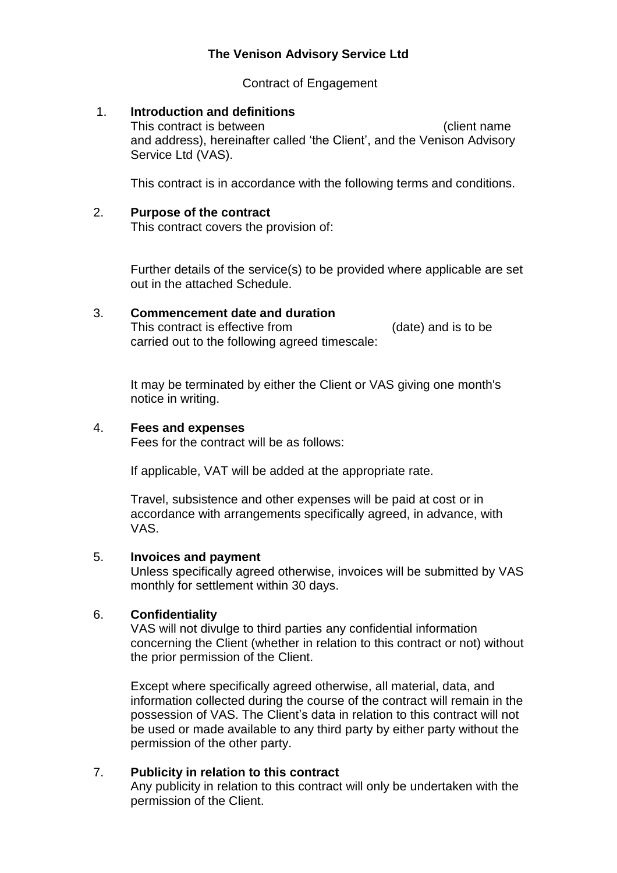# **The Venison Advisory Service Ltd**

Contract of Engagement

#### 1. **Introduction and definitions**

This contract is between (client name and address), hereinafter called 'the Client', and the Venison Advisory Service Ltd (VAS).

This contract is in accordance with the following terms and conditions.

#### 2. **Purpose of the contract**

This contract covers the provision of:

Further details of the service(s) to be provided where applicable are set out in the attached Schedule.

## 3. **Commencement date and duration** This contract is effective from (date) and is to be carried out to the following agreed timescale:

It may be terminated by either the Client or VAS giving one month's notice in writing.

#### 4. **Fees and expenses**

Fees for the contract will be as follows:

If applicable, VAT will be added at the appropriate rate.

Travel, subsistence and other expenses will be paid at cost or in accordance with arrangements specifically agreed, in advance, with VAS.

### 5. **Invoices and payment**

Unless specifically agreed otherwise, invoices will be submitted by VAS monthly for settlement within 30 days.

### 6. **Confidentiality**

VAS will not divulge to third parties any confidential information concerning the Client (whether in relation to this contract or not) without the prior permission of the Client.

Except where specifically agreed otherwise, all material, data, and information collected during the course of the contract will remain in the possession of VAS. The Client's data in relation to this contract will not be used or made available to any third party by either party without the permission of the other party.

### 7. **Publicity in relation to this contract**

Any publicity in relation to this contract will only be undertaken with the permission of the Client.